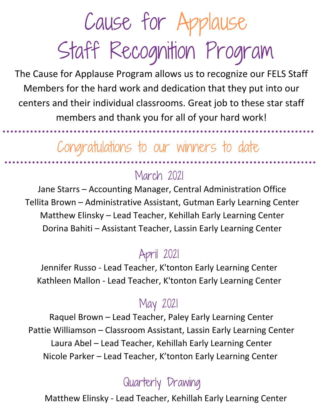The Cause for Applause Program allows us to recognize our FELS Staff Members for the hard work and dedication that they put into our centers and their individual classrooms. Great job to these star staff members and thank you for all of your hard work!

### Congratulations to our winners to date

### March 2021

Jane Starrs – Accounting Manager, Central Administration Office Tellita Brown – Administrative Assistant, Gutman Early Learning Center Matthew Elinsky – Lead Teacher, Kehillah Early Learning Center Dorina Bahiti – Assistant Teacher, Lassin Early Learning Center

### April 2021

Jennifer Russo - Lead Teacher, K'tonton Early Learning Center Kathleen Mallon - Lead Teacher, K'tonton Early Learning Center

### May 2021

Raquel Brown – Lead Teacher, Paley Early Learning Center Pattie Williamson – Classroom Assistant, Lassin Early Learning Center Laura Abel – Lead Teacher, Kehillah Early Learning Center Nicole Parker – Lead Teacher, K'tonton Early Learning Center

### Quarterly Drawing

Matthew Elinsky - Lead Teacher, Kehillah Early Learning Center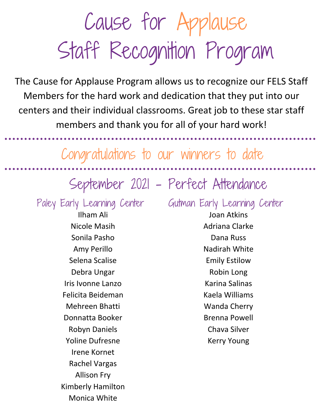The Cause for Applause Program allows us to recognize our FELS Staff Members for the hard work and dedication that they put into our centers and their individual classrooms. Great job to these star staff members and thank you for all of your hard work!

Congratulations to our winners to date

### September 2021 - Perfect Attendance

Ilham Ali Nicole Masih Sonila Pasho Amy Perillo Selena Scalise Debra Ungar Iris Ivonne Lanzo Felicita Beideman Mehreen Bhatti Donnatta Booker Robyn Daniels Yoline Dufresne Irene Kornet Rachel Vargas Allison Fry Kimberly Hamilton Monica White

Paley Early Learning Center Gutman Early Learning Center Joan Atkins Adriana Clarke Dana Russ Nadirah White Emily Estilow Robin Long Karina Salinas Kaela Williams Wanda Cherry Brenna Powell Chava Silver Kerry Young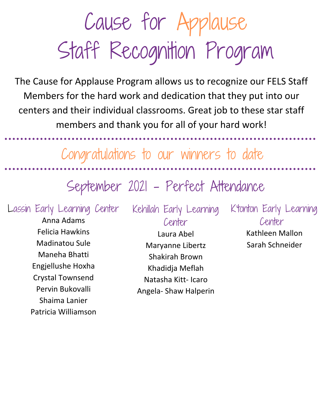The Cause for Applause Program allows us to recognize our FELS Staff Members for the hard work and dedication that they put into our centers and their individual classrooms. Great job to these star staff members and thank you for all of your hard work!

Congratulations to our winners to date

September 2021 - Perfect Attendance

Lassin Early Learning Center

Anna Adams Felicia Hawkins Madinatou Sule Maneha Bhatti Engjellushe Hoxha Crystal Townsend Pervin Bukovalli Shaima Lanier Patricia Williamson Kehillah Early Learning Center

Laura Abel Maryanne Libertz Shakirah Brown Khadidja Meflah Natasha Kitt- Icaro Angela- Shaw Halperin K'tonton Early Learning Center

> Kathleen Mallon Sarah Schneider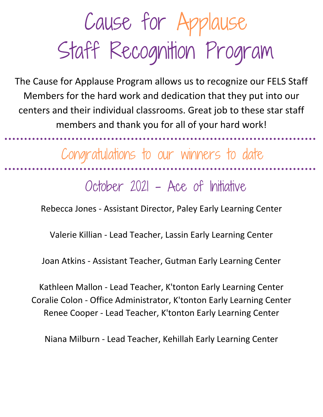The Cause for Applause Program allows us to recognize our FELS Staff Members for the hard work and dedication that they put into our centers and their individual classrooms. Great job to these star staff members and thank you for all of your hard work!

Congratulations to our winners to date

October 2021 - Ace of Initiative

Rebecca Jones - Assistant Director, Paley Early Learning Center

Valerie Killian - Lead Teacher, Lassin Early Learning Center

Joan Atkins - Assistant Teacher, Gutman Early Learning Center

Kathleen Mallon - Lead Teacher, K'tonton Early Learning Center Coralie Colon - Office Administrator, K'tonton Early Learning Center Renee Cooper - Lead Teacher, K'tonton Early Learning Center

Niana Milburn - Lead Teacher, Kehillah Early Learning Center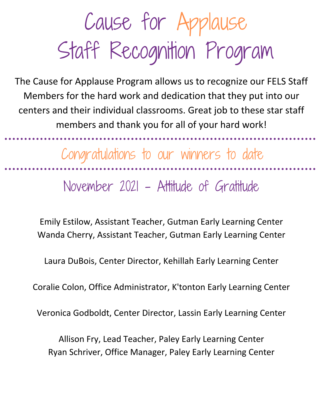The Cause for Applause Program allows us to recognize our FELS Staff Members for the hard work and dedication that they put into our centers and their individual classrooms. Great job to these star staff members and thank you for all of your hard work!

Congratulations to our winners to date

November 2021 - Attitude of Gratitude

Emily Estilow, Assistant Teacher, Gutman Early Learning Center Wanda Cherry, Assistant Teacher, Gutman Early Learning Center

Laura DuBois, Center Director, Kehillah Early Learning Center

Coralie Colon, Office Administrator, K'tonton Early Learning Center

Veronica Godboldt, Center Director, Lassin Early Learning Center

Allison Fry, Lead Teacher, Paley Early Learning Center Ryan Schriver, Office Manager, Paley Early Learning Center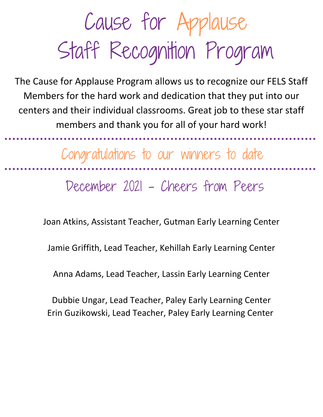The Cause for Applause Program allows us to recognize our FELS Staff Members for the hard work and dedication that they put into our centers and their individual classrooms. Great job to these star staff members and thank you for all of your hard work!

Congratulations to our winners to date

December 2021 - Cheers from Peers

Joan Atkins, Assistant Teacher, Gutman Early Learning Center

Jamie Griffith, Lead Teacher, Kehillah Early Learning Center

Anna Adams, Lead Teacher, Lassin Early Learning Center

Dubbie Ungar, Lead Teacher, Paley Early Learning Center Erin Guzikowski, Lead Teacher, Paley Early Learning Center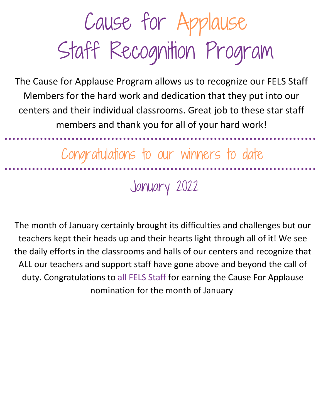The Cause for Applause Program allows us to recognize our FELS Staff Members for the hard work and dedication that they put into our centers and their individual classrooms. Great job to these star staff members and thank you for all of your hard work!

Congratulations to our winners to date

January 2022

The month of January certainly brought its difficulties and challenges but our teachers kept their heads up and their hearts light through all of it! We see the daily efforts in the classrooms and halls of our centers and recognize that ALL our teachers and support staff have gone above and beyond the call of duty. Congratulations to all FELS Staff for earning the Cause For Applause nomination for the month of January